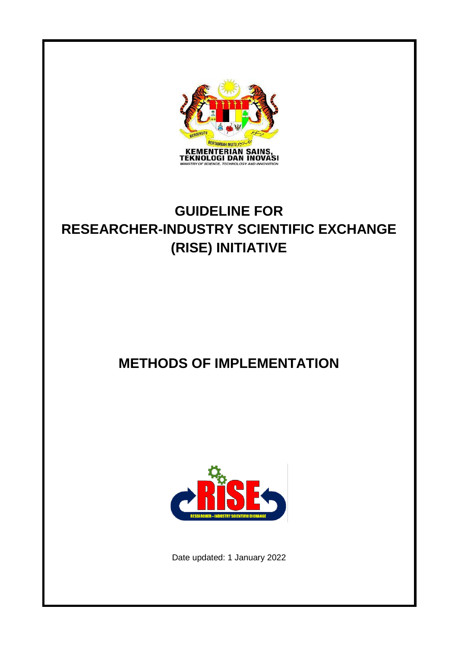

# **GUIDELINE FOR RESEARCHER-INDUSTRY SCIENTIFIC EXCHANGE (RISE) INITIATIVE**

# **METHODS OF IMPLEMENTATION**



Date updated: 1 January 2022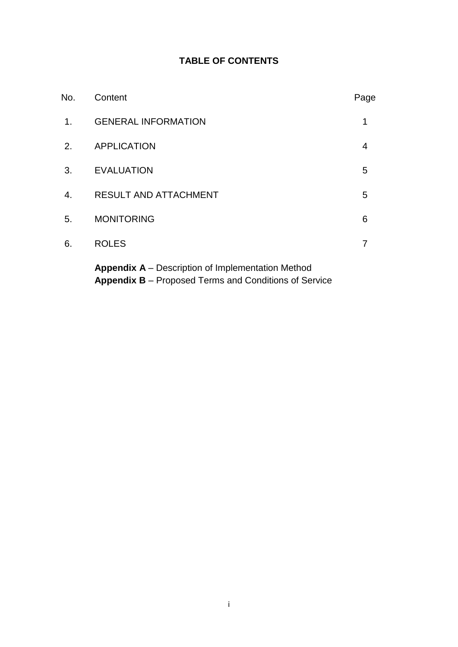# **TABLE OF CONTENTS**

| No.            | Content                                                  | Page |
|----------------|----------------------------------------------------------|------|
| 1 <sub>1</sub> | <b>GENERAL INFORMATION</b>                               | 1    |
| 2.             | <b>APPLICATION</b>                                       | 4    |
| 3.             | <b>EVALUATION</b>                                        | 5    |
| 4.             | <b>RESULT AND ATTACHMENT</b>                             | 5    |
| 5.             | <b>MONITORING</b>                                        | 6    |
| 6.             | <b>ROLES</b>                                             |      |
|                | <b>Appendix A</b> – Description of Implementation Method |      |

**Appendix B** – Proposed Terms and Conditions of Service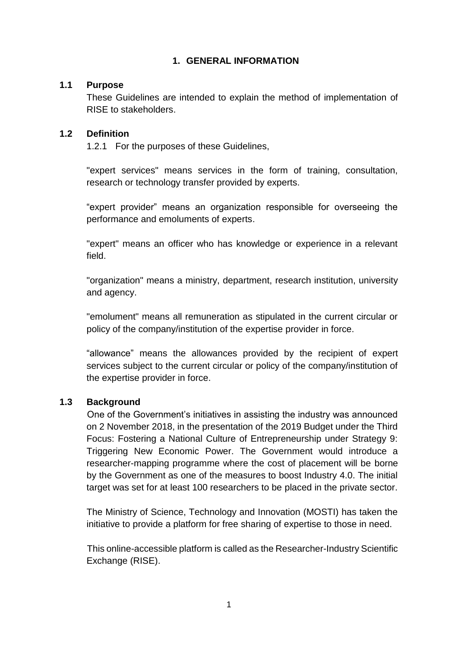## **1. GENERAL INFORMATION**

#### **1.1 Purpose**

These Guidelines are intended to explain the method of implementation of RISE to stakeholders.

#### **1.2 Definition**

1.2.1 For the purposes of these Guidelines,

"expert services" means services in the form of training, consultation, research or technology transfer provided by experts.

"expert provider" means an organization responsible for overseeing the performance and emoluments of experts.

"expert" means an officer who has knowledge or experience in a relevant field.

"organization" means a ministry, department, research institution, university and agency.

"emolument" means all remuneration as stipulated in the current circular or policy of the company/institution of the expertise provider in force.

"allowance" means the allowances provided by the recipient of expert services subject to the current circular or policy of the company/institution of the expertise provider in force.

#### **1.3 Background**

One of the Government's initiatives in assisting the industry was announced on 2 November 2018, in the presentation of the 2019 Budget under the Third Focus: Fostering a National Culture of Entrepreneurship under Strategy 9: Triggering New Economic Power. The Government would introduce a researcher-mapping programme where the cost of placement will be borne by the Government as one of the measures to boost Industry 4.0. The initial target was set for at least 100 researchers to be placed in the private sector.

The Ministry of Science, Technology and Innovation (MOSTI) has taken the initiative to provide a platform for free sharing of expertise to those in need.

This online-accessible platform is called as the Researcher-Industry Scientific Exchange (RISE).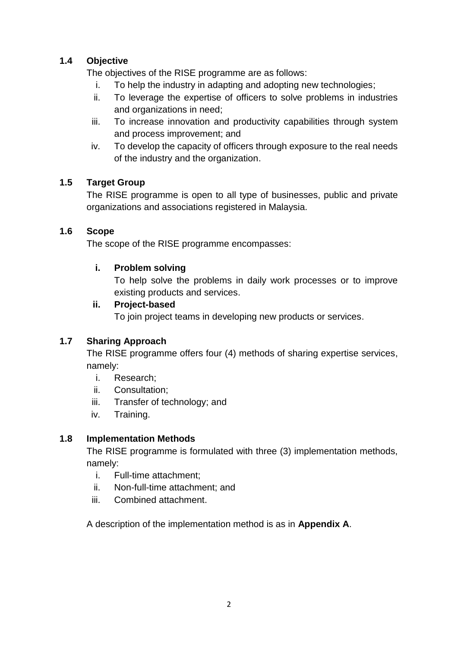## **1.4 Objective**

The objectives of the RISE programme are as follows:

- i. To help the industry in adapting and adopting new technologies;
- ii. To leverage the expertise of officers to solve problems in industries and organizations in need;
- iii. To increase innovation and productivity capabilities through system and process improvement; and
- iv. To develop the capacity of officers through exposure to the real needs of the industry and the organization.

## **1.5 Target Group**

The RISE programme is open to all type of businesses, public and private organizations and associations registered in Malaysia.

## **1.6 Scope**

The scope of the RISE programme encompasses:

## **i. Problem solving**

To help solve the problems in daily work processes or to improve existing products and services.

#### **ii. Project-based**

To join project teams in developing new products or services.

## **1.7 Sharing Approach**

The RISE programme offers four (4) methods of sharing expertise services, namely:

- i. Research;
- ii. Consultation;
- iii. Transfer of technology; and
- iv. Training.

## **1.8 Implementation Methods**

The RISE programme is formulated with three (3) implementation methods, namely:

- i. Full-time attachment;
- ii. Non-full-time attachment; and
- iii. Combined attachment.

A description of the implementation method is as in **Appendix A**.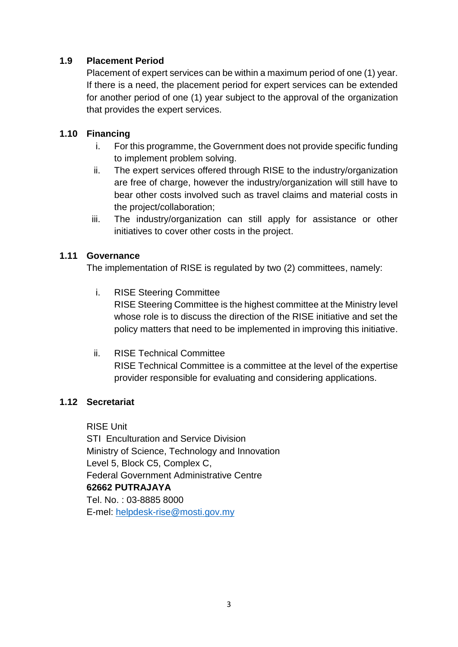#### **1.9 Placement Period**

Placement of expert services can be within a maximum period of one (1) year. If there is a need, the placement period for expert services can be extended for another period of one (1) year subject to the approval of the organization that provides the expert services.

## **1.10 Financing**

- i. For this programme, the Government does not provide specific funding to implement problem solving.
- ii. The expert services offered through RISE to the industry/organization are free of charge, however the industry/organization will still have to bear other costs involved such as travel claims and material costs in the project/collaboration;
- iii. The industry/organization can still apply for assistance or other initiatives to cover other costs in the project.

#### **1.11 Governance**

The implementation of RISE is regulated by two (2) committees, namely:

- i. RISE Steering Committee RISE Steering Committee is the highest committee at the Ministry level whose role is to discuss the direction of the RISE initiative and set the policy matters that need to be implemented in improving this initiative.
- ii. RISE Technical Committee RISE Technical Committee is a committee at the level of the expertise provider responsible for evaluating and considering applications.

## **1.12 Secretariat**

RISE Unit STI Enculturation and Service Division Ministry of Science, Technology and Innovation Level 5, Block C5, Complex C, Federal Government Administrative Centre **62662 PUTRAJAYA** Tel. No. : 03-8885 8000 E-mel: [helpdesk-rise@mosti.gov.my](mailto:helpdesk-rise@mosti.gov.my)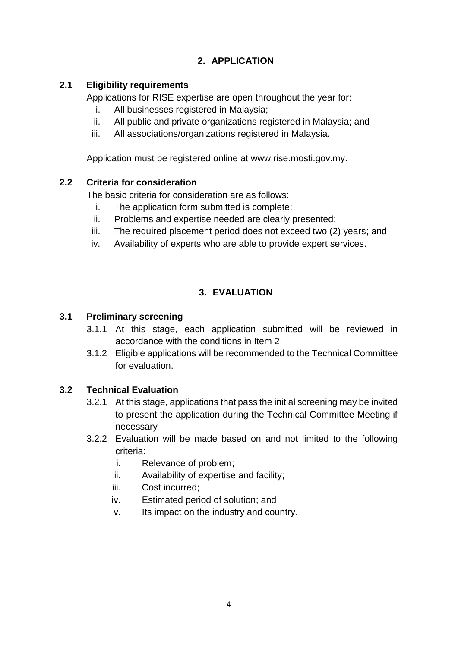# **2. APPLICATION**

## **2.1 Eligibility requirements**

Applications for RISE expertise are open throughout the year for:

- i. All businesses registered in Malaysia;
- ii. All public and private organizations registered in Malaysia; and
- iii. All associations/organizations registered in Malaysia.

Application must be registered online at www.rise.mosti.gov.my.

## **2.2 Criteria for consideration**

The basic criteria for consideration are as follows:

- i. The application form submitted is complete;
- ii. Problems and expertise needed are clearly presented;
- iii. The required placement period does not exceed two (2) years; and
- iv. Availability of experts who are able to provide expert services.

## **3. EVALUATION**

## **3.1 Preliminary screening**

- 3.1.1 At this stage, each application submitted will be reviewed in accordance with the conditions in Item 2.
- 3.1.2 Eligible applications will be recommended to the Technical Committee for evaluation.

## **3.2 Technical Evaluation**

- 3.2.1 At this stage, applications that pass the initial screening may be invited to present the application during the Technical Committee Meeting if necessary
- 3.2.2 Evaluation will be made based on and not limited to the following criteria:
	- i. Relevance of problem;
	- ii. Availability of expertise and facility;
	- iii. Cost incurred;
	- iv. Estimated period of solution; and
	- v. Its impact on the industry and country.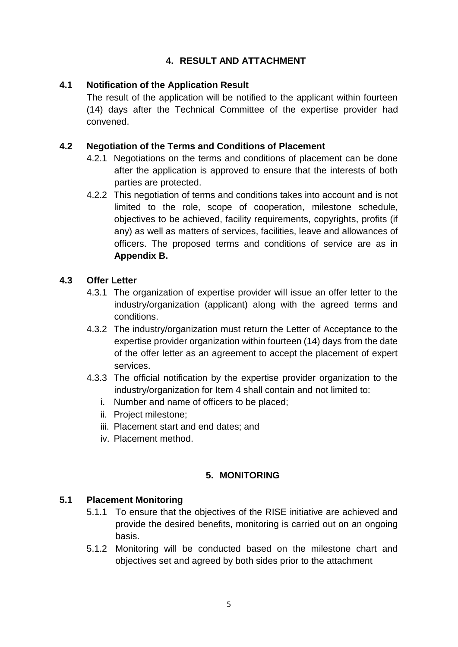## **4. RESULT AND ATTACHMENT**

### **4.1 Notification of the Application Result**

The result of the application will be notified to the applicant within fourteen (14) days after the Technical Committee of the expertise provider had convened.

### **4.2 Negotiation of the Terms and Conditions of Placement**

- 4.2.1 Negotiations on the terms and conditions of placement can be done after the application is approved to ensure that the interests of both parties are protected.
- 4.2.2 This negotiation of terms and conditions takes into account and is not limited to the role, scope of cooperation, milestone schedule, objectives to be achieved, facility requirements, copyrights, profits (if any) as well as matters of services, facilities, leave and allowances of officers. The proposed terms and conditions of service are as in **Appendix B.**

#### **4.3 Offer Letter**

- 4.3.1 The organization of expertise provider will issue an offer letter to the industry/organization (applicant) along with the agreed terms and conditions.
- 4.3.2 The industry/organization must return the Letter of Acceptance to the expertise provider organization within fourteen (14) days from the date of the offer letter as an agreement to accept the placement of expert services.
- 4.3.3 The official notification by the expertise provider organization to the industry/organization for Item 4 shall contain and not limited to:
	- i. Number and name of officers to be placed;
	- ii. Project milestone;
	- iii. Placement start and end dates; and
	- iv. Placement method.

#### **5. MONITORING**

#### **5.1 Placement Monitoring**

- 5.1.1 To ensure that the objectives of the RISE initiative are achieved and provide the desired benefits, monitoring is carried out on an ongoing basis.
- 5.1.2 Monitoring will be conducted based on the milestone chart and objectives set and agreed by both sides prior to the attachment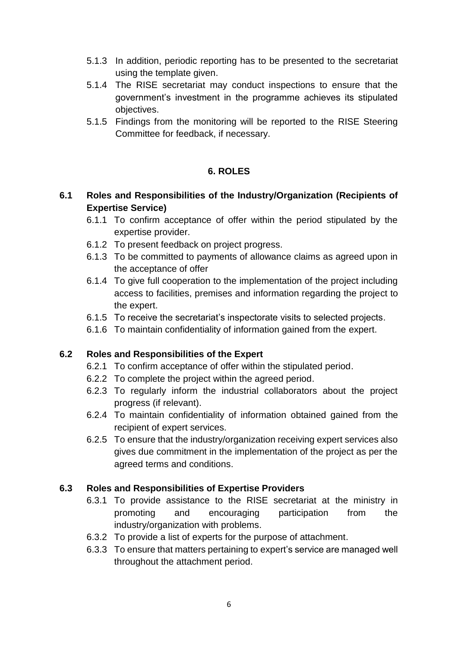- 5.1.3 In addition, periodic reporting has to be presented to the secretariat using the template given.
- 5.1.4 The RISE secretariat may conduct inspections to ensure that the government's investment in the programme achieves its stipulated objectives.
- 5.1.5 Findings from the monitoring will be reported to the RISE Steering Committee for feedback, if necessary.

#### **6. ROLES**

## **6.1 Roles and Responsibilities of the Industry/Organization (Recipients of Expertise Service)**

- 6.1.1 To confirm acceptance of offer within the period stipulated by the expertise provider.
- 6.1.2 To present feedback on project progress.
- 6.1.3 To be committed to payments of allowance claims as agreed upon in the acceptance of offer
- 6.1.4 To give full cooperation to the implementation of the project including access to facilities, premises and information regarding the project to the expert.
- 6.1.5 To receive the secretariat's inspectorate visits to selected projects.
- 6.1.6 To maintain confidentiality of information gained from the expert.

#### **6.2 Roles and Responsibilities of the Expert**

- 6.2.1 To confirm acceptance of offer within the stipulated period.
- 6.2.2 To complete the project within the agreed period.
- 6.2.3 To regularly inform the industrial collaborators about the project progress (if relevant).
- 6.2.4 To maintain confidentiality of information obtained gained from the recipient of expert services.
- 6.2.5 To ensure that the industry/organization receiving expert services also gives due commitment in the implementation of the project as per the agreed terms and conditions.

#### **6.3 Roles and Responsibilities of Expertise Providers**

- 6.3.1 To provide assistance to the RISE secretariat at the ministry in promoting and encouraging participation from the industry/organization with problems.
- 6.3.2 To provide a list of experts for the purpose of attachment.
- 6.3.3 To ensure that matters pertaining to expert's service are managed well throughout the attachment period.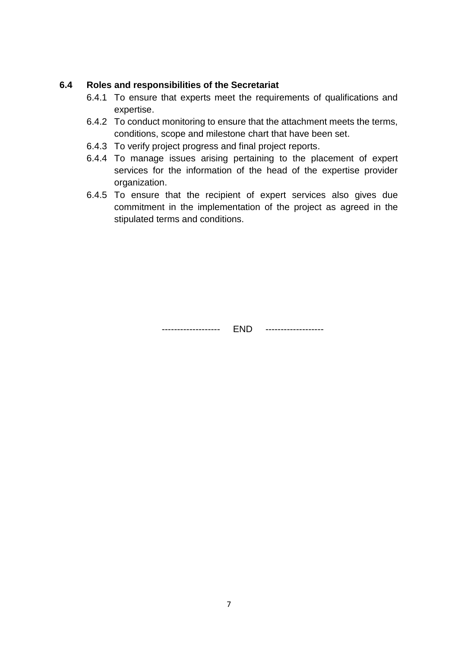#### **6.4 Roles and responsibilities of the Secretariat**

- 6.4.1 To ensure that experts meet the requirements of qualifications and expertise.
- 6.4.2 To conduct monitoring to ensure that the attachment meets the terms, conditions, scope and milestone chart that have been set.
- 6.4.3 To verify project progress and final project reports.
- 6.4.4 To manage issues arising pertaining to the placement of expert services for the information of the head of the expertise provider organization.
- 6.4.5 To ensure that the recipient of expert services also gives due commitment in the implementation of the project as agreed in the stipulated terms and conditions.

------------------- END -------------------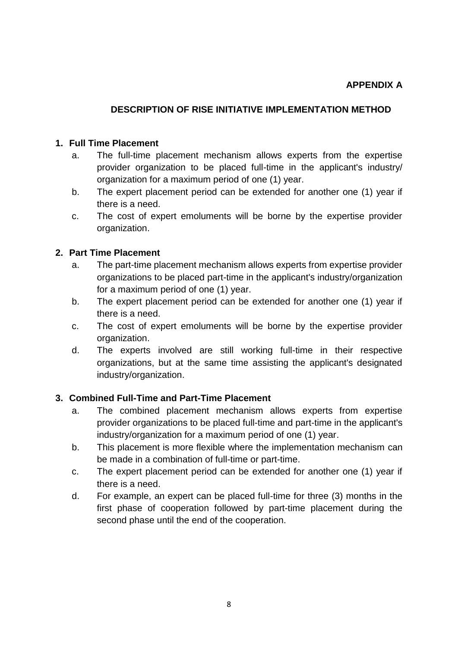### **DESCRIPTION OF RISE INITIATIVE IMPLEMENTATION METHOD**

#### **1. Full Time Placement**

- a. The full-time placement mechanism allows experts from the expertise provider organization to be placed full-time in the applicant's industry/ organization for a maximum period of one (1) year.
- b. The expert placement period can be extended for another one (1) year if there is a need.
- c. The cost of expert emoluments will be borne by the expertise provider organization.

#### **2. Part Time Placement**

- a. The part-time placement mechanism allows experts from expertise provider organizations to be placed part-time in the applicant's industry/organization for a maximum period of one (1) year.
- b. The expert placement period can be extended for another one (1) year if there is a need.
- c. The cost of expert emoluments will be borne by the expertise provider organization.
- d. The experts involved are still working full-time in their respective organizations, but at the same time assisting the applicant's designated industry/organization.

#### **3. Combined Full-Time and Part-Time Placement**

- a. The combined placement mechanism allows experts from expertise provider organizations to be placed full-time and part-time in the applicant's industry/organization for a maximum period of one (1) year.
- b. This placement is more flexible where the implementation mechanism can be made in a combination of full-time or part-time.
- c. The expert placement period can be extended for another one (1) year if there is a need.
- d. For example, an expert can be placed full-time for three (3) months in the first phase of cooperation followed by part-time placement during the second phase until the end of the cooperation.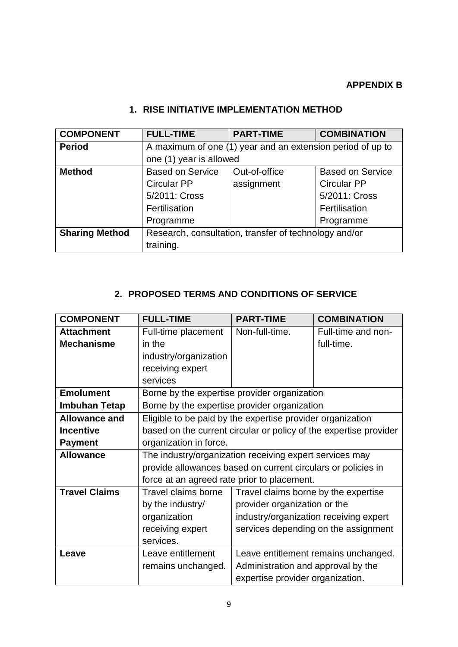## **APPENDIX B**

| <b>COMPONENT</b>      | <b>FULL-TIME</b>                                           | <b>PART-TIME</b> | <b>COMBINATION</b>      |
|-----------------------|------------------------------------------------------------|------------------|-------------------------|
| <b>Period</b>         | A maximum of one (1) year and an extension period of up to |                  |                         |
|                       | one (1) year is allowed                                    |                  |                         |
| <b>Method</b>         | <b>Based on Service</b>                                    | Out-of-office    | <b>Based on Service</b> |
|                       | <b>Circular PP</b>                                         | assignment       | <b>Circular PP</b>      |
|                       | 5/2011: Cross                                              |                  | 5/2011: Cross           |
|                       | Fertilisation                                              |                  | Fertilisation           |
|                       | Programme                                                  |                  | Programme               |
| <b>Sharing Method</b> | Research, consultation, transfer of technology and/or      |                  |                         |
|                       | training.                                                  |                  |                         |

## **1. RISE INITIATIVE IMPLEMENTATION METHOD**

## **2. PROPOSED TERMS AND CONDITIONS OF SERVICE**

| <b>COMPONENT</b>     | <b>FULL-TIME</b>                                                  | <b>PART-TIME</b>                                        | <b>COMBINATION</b>                   |  |
|----------------------|-------------------------------------------------------------------|---------------------------------------------------------|--------------------------------------|--|
| <b>Attachment</b>    | Full-time placement                                               | Non-full-time.                                          | Full-time and non-                   |  |
| <b>Mechanisme</b>    | in the                                                            |                                                         | full-time.                           |  |
|                      | industry/organization                                             |                                                         |                                      |  |
|                      | receiving expert                                                  |                                                         |                                      |  |
|                      | services                                                          |                                                         |                                      |  |
| <b>Emolument</b>     | Borne by the expertise provider organization                      |                                                         |                                      |  |
| Imbuhan Tetap        | Borne by the expertise provider organization                      |                                                         |                                      |  |
| <b>Allowance and</b> | Eligible to be paid by the expertise provider organization        |                                                         |                                      |  |
| <b>Incentive</b>     | based on the current circular or policy of the expertise provider |                                                         |                                      |  |
| <b>Payment</b>       | organization in force.                                            |                                                         |                                      |  |
| <b>Allowance</b>     |                                                                   | The industry/organization receiving expert services may |                                      |  |
|                      | provide allowances based on current circulars or policies in      |                                                         |                                      |  |
|                      | force at an agreed rate prior to placement.                       |                                                         |                                      |  |
| <b>Travel Claims</b> | <b>Travel claims borne</b>                                        | Travel claims borne by the expertise                    |                                      |  |
|                      | by the industry/                                                  | provider organization or the                            |                                      |  |
|                      | organization                                                      | industry/organization receiving expert                  |                                      |  |
|                      | receiving expert                                                  |                                                         | services depending on the assignment |  |
|                      | services.                                                         |                                                         |                                      |  |
| Leave                | Leave entitlement                                                 | Leave entitlement remains unchanged.                    |                                      |  |
|                      | remains unchanged.                                                | Administration and approval by the                      |                                      |  |
|                      |                                                                   | expertise provider organization.                        |                                      |  |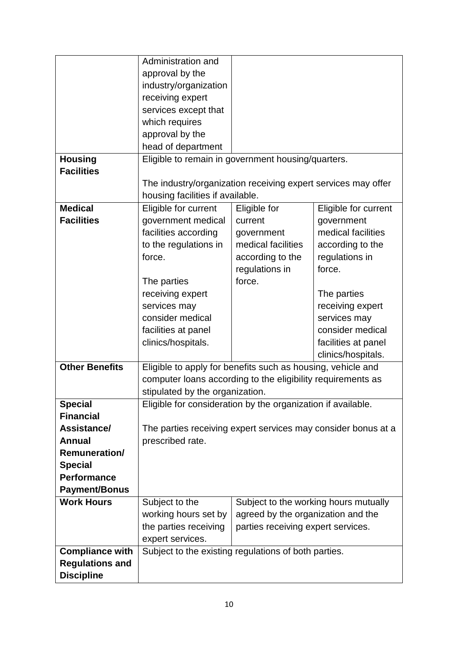|                        | Administration and                                            |                                                               |                                       |
|------------------------|---------------------------------------------------------------|---------------------------------------------------------------|---------------------------------------|
|                        | approval by the                                               |                                                               |                                       |
|                        | industry/organization                                         |                                                               |                                       |
|                        | receiving expert                                              |                                                               |                                       |
|                        | services except that                                          |                                                               |                                       |
|                        | which requires                                                |                                                               |                                       |
|                        | approval by the                                               |                                                               |                                       |
|                        | head of department                                            |                                                               |                                       |
| <b>Housing</b>         |                                                               | Eligible to remain in government housing/quarters.            |                                       |
| <b>Facilities</b>      |                                                               |                                                               |                                       |
|                        |                                                               | The industry/organization receiving expert services may offer |                                       |
|                        | housing facilities if available.                              |                                                               |                                       |
| <b>Medical</b>         | Eligible for current                                          | Eligible for                                                  | Eligible for current                  |
| <b>Facilities</b>      | government medical                                            | current                                                       | government                            |
|                        | facilities according                                          | government                                                    | medical facilities                    |
|                        | to the regulations in                                         | medical facilities                                            | according to the                      |
|                        | force.                                                        | according to the                                              | regulations in                        |
|                        |                                                               | regulations in                                                | force.                                |
|                        | The parties                                                   | force.                                                        |                                       |
|                        | receiving expert                                              |                                                               | The parties                           |
|                        | services may                                                  |                                                               | receiving expert                      |
|                        | consider medical                                              |                                                               | services may                          |
|                        | facilities at panel                                           |                                                               | consider medical                      |
|                        | clinics/hospitals.                                            |                                                               | facilities at panel                   |
|                        |                                                               |                                                               | clinics/hospitals.                    |
| <b>Other Benefits</b>  | Eligible to apply for benefits such as housing, vehicle and   |                                                               |                                       |
|                        | computer loans according to the eligibility requirements as   |                                                               |                                       |
|                        | stipulated by the organization.                               |                                                               |                                       |
| <b>Special</b>         | Eligible for consideration by the organization if available.  |                                                               |                                       |
| <b>Financial</b>       |                                                               |                                                               |                                       |
| Assistance/            | The parties receiving expert services may consider bonus at a |                                                               |                                       |
| <b>Annual</b>          | prescribed rate.                                              |                                                               |                                       |
| <b>Remuneration/</b>   |                                                               |                                                               |                                       |
| <b>Special</b>         |                                                               |                                                               |                                       |
| <b>Performance</b>     |                                                               |                                                               |                                       |
| <b>Payment/Bonus</b>   |                                                               |                                                               |                                       |
| <b>Work Hours</b>      | Subject to the                                                |                                                               | Subject to the working hours mutually |
|                        | working hours set by                                          | agreed by the organization and the                            |                                       |
|                        | the parties receiving                                         | parties receiving expert services.                            |                                       |
|                        | expert services.                                              |                                                               |                                       |
| <b>Compliance with</b> |                                                               | Subject to the existing regulations of both parties.          |                                       |
| <b>Regulations and</b> |                                                               |                                                               |                                       |
| <b>Discipline</b>      |                                                               |                                                               |                                       |